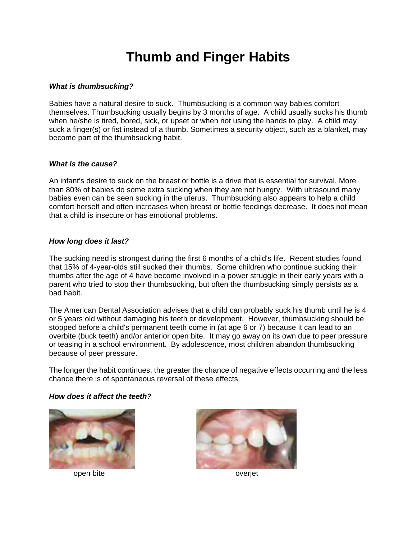# **Thumb and Finger Habits**

## *What is thumbsucking?*

Babies have a natural desire to suck. Thumbsucking is a common way babies comfort themselves. Thumbsucking usually begins by 3 months of age. A child usually sucks his thumb when he/she is tired, bored, sick, or upset or when not using the hands to play. A child may suck a finger(s) or fist instead of a thumb. Sometimes a security object, such as a blanket, may become part of the thumbsucking habit.

## *What is the cause?*

An infant's desire to suck on the breast or bottle is a drive that is essential for survival. More than 80% of babies do some extra sucking when they are not hungry. With ultrasound many babies even can be seen sucking in the uterus. Thumbsucking also appears to help a child comfort herself and often increases when breast or bottle feedings decrease. It does not mean that a child is insecure or has emotional problems.

## *How long does it last?*

The sucking need is strongest during the first 6 months of a child's life. Recent studies found that 15% of 4-year-olds still sucked their thumbs. Some children who continue sucking their thumbs after the age of 4 have become involved in a power struggle in their early years with a parent who tried to stop their thumbsucking, but often the thumbsucking simply persists as a bad habit.

The American Dental Association advises that a child can probably suck his thumb until he is 4 or 5 years old without damaging his teeth or development. However, thumbsucking should be stopped before a child's permanent teeth come in (at age 6 or 7) because it can lead to an overbite (buck teeth) and/or anterior open bite. It may go away on its own due to peer pressure or teasing in a school environment. By adolescence, most children abandon thumbsucking because of peer pressure.

The longer the habit continues, the greater the chance of negative effects occurring and the less chance there is of spontaneous reversal of these effects.

#### *How does it affect the teeth?*



open bite overjet

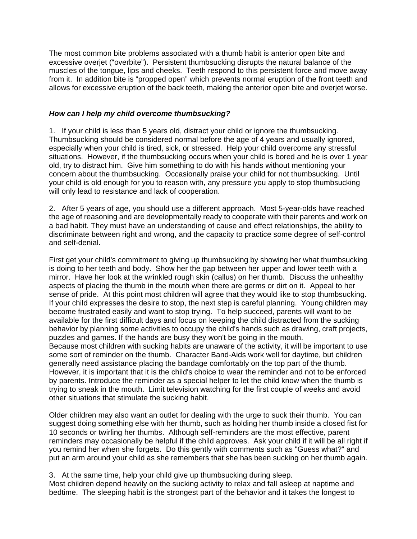The most common bite problems associated with a thumb habit is anterior open bite and excessive overjet ("overbite"). Persistent thumbsucking disrupts the natural balance of the muscles of the tongue, lips and cheeks. Teeth respond to this persistent force and move away from it. In addition bite is "propped open" which prevents normal eruption of the front teeth and allows for excessive eruption of the back teeth, making the anterior open bite and overjet worse.

## *How can I help my child overcome thumbsucking?*

1. If your child is less than 5 years old, distract your child or ignore the thumbsucking. Thumbsucking should be considered normal before the age of 4 years and usually ignored, especially when your child is tired, sick, or stressed. Help your child overcome any stressful situations. However, if the thumbsucking occurs when your child is bored and he is over 1 year old, try to distract him. Give him something to do with his hands without mentioning your concern about the thumbsucking. Occasionally praise your child for not thumbsucking. Until your child is old enough for you to reason with, any pressure you apply to stop thumbsucking will only lead to resistance and lack of cooperation.

2. After 5 years of age, you should use a different approach. Most 5-year-olds have reached the age of reasoning and are developmentally ready to cooperate with their parents and work on a bad habit. They must have an understanding of cause and effect relationships, the ability to discriminate between right and wrong, and the capacity to practice some degree of self-control and self-denial.

First get your child's commitment to giving up thumbsucking by showing her what thumbsucking is doing to her teeth and body. Show her the gap between her upper and lower teeth with a mirror. Have her look at the wrinkled rough skin (callus) on her thumb. Discuss the unhealthy aspects of placing the thumb in the mouth when there are germs or dirt on it. Appeal to her sense of pride. At this point most children will agree that they would like to stop thumbsucking. If your child expresses the desire to stop, the next step is careful planning. Young children may become frustrated easily and want to stop trying. To help succeed, parents will want to be available for the first difficult days and focus on keeping the child distracted from the sucking behavior by planning some activities to occupy the child's hands such as drawing, craft projects, puzzles and games. If the hands are busy they won't be going in the mouth. Because most children with sucking habits are unaware of the activity, it will be important to use some sort of reminder on the thumb. Character Band-Aids work well for daytime, but children generally need assistance placing the bandage comfortably on the top part of the thumb. However, it is important that it is the child's choice to wear the reminder and not to be enforced by parents. Introduce the reminder as a special helper to let the child know when the thumb is trying to sneak in the mouth. Limit television watching for the first couple of weeks and avoid other situations that stimulate the sucking habit.

Older children may also want an outlet for dealing with the urge to suck their thumb. You can suggest doing something else with her thumb, such as holding her thumb inside a closed fist for 10 seconds or twirling her thumbs. Although self-reminders are the most effective, parent reminders may occasionally be helpful if the child approves. Ask your child if it will be all right if you remind her when she forgets. Do this gently with comments such as "Guess what?" and put an arm around your child as she remembers that she has been sucking on her thumb again.

3. At the same time, help your child give up thumbsucking during sleep.

Most children depend heavily on the sucking activity to relax and fall asleep at naptime and bedtime. The sleeping habit is the strongest part of the behavior and it takes the longest to